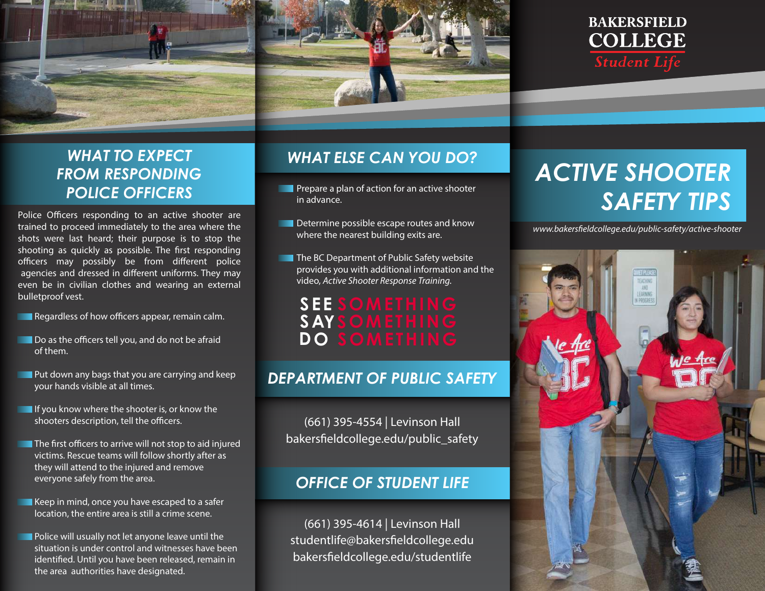



## *WHAT TO EXPECT FROM RESPONDING POLICE OFFICERS*

Police Officers responding to an active shooter are trained to proceed immediately to the area where the shots were last heard; their purpose is to stop the shooting as quickly as possible. The first responding officers may possibly be from different police agencies and dressed in different uniforms. They may even be in civilian clothes and wearing an external bulletproof vest.

 $\blacksquare$  Regardless of how officers appear, remain calm.

- Do as the officers tell you, and do not be afraid of them.
- **Put down any bags that you are carrying and keep** your hands visible at all times.
- $\blacksquare$  If you know where the shooter is, or know the shooters description, tell the officers.
- $\blacksquare$  The first officers to arrive will not stop to aid injured victims. Rescue teams will follow shortly after as they will attend to the injured and remove everyone safely from the area.
	- Keep in mind, once you have escaped to a safer location, the entire area is still a crime scene.
	- Police will usually not let anyone leave until the situation is under control and witnesses have been identified. Until you have been released, remain in the area authorities have designated.

### *WHAT ELSE CAN YOU DO?*

- **Prepare a plan of action for an active shooter** in advance.
- **DET** Determine possible escape routes and know where the nearest building exits are.
- **The BC Department of Public Safety website** provides you with additional information and the video, *Active Shooter Response Training.*

# **SEE SOMETHING SAYSOMETHING DO SOMETHING**

### *DEPARTMENT OF PUBLIC SAFETY*

(661) 395-4554 | Levinson Hall bakersfieldcollege.edu/public\_safety

#### *OFFICE OF STUDENT LIFE*

(661) 395-4614 | Levinson Hall studentlife@bakersfieldcollege.edu bakersfieldcollege.edu/studentlife

# *ACTIVE SHOOTER SAFETY TIPS*

*www.bakerseldcollege.edu/public-safety/active-shooter*